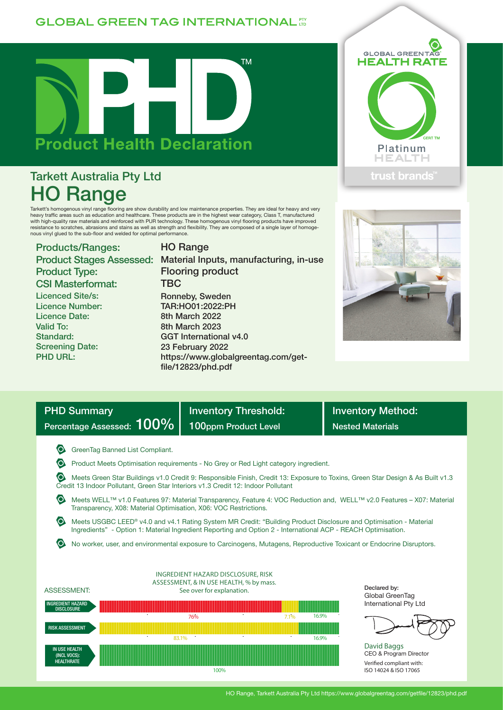## **GLOBAL GREEN TAG INTERNATIONAL TT**



# Tarkett Australia Pty Ltd HO Range

Tarkett's homogenous vinyl range flooring are show durability and low maintenance properties. They are ideal for heavy and very<br>heavy traffic areas such as education and healthcare. These products are in the highest wear c nous vinyl glued to the sub-floor and welded for optimal performance.

HO Range

## Products/Ranges: Product Type: CSI Masterformat: Licenced Site/s: Licence Number:

Licence Date: Valid To: Standard: Screening Date: PHD URL:

### Product Stages Assessed: Material Inputs, manufacturing, in-use Flooring product **TBC** Ronneby, Sweden TAR:HO01:2022:PH 8th March 2022 8th March 2023 GGT International v4.0 23 February 2022 https://www.globalgreentag.com/getfile/12823/phd.pdf





| <b>PHD Summary</b><br>Percentage Assessed: 100%                                                                                                                                                                                                                                                                                                                                                                                                                                                                                                                                                                                                                                                                                                                                                                                                                                                           | <b>Inventory Threshold:</b><br>100ppm Product Level                                                                                | <b>Inventory Method:</b><br><b>Nested Materials</b>                                                                 |  |  |  |  |  |  |  |
|-----------------------------------------------------------------------------------------------------------------------------------------------------------------------------------------------------------------------------------------------------------------------------------------------------------------------------------------------------------------------------------------------------------------------------------------------------------------------------------------------------------------------------------------------------------------------------------------------------------------------------------------------------------------------------------------------------------------------------------------------------------------------------------------------------------------------------------------------------------------------------------------------------------|------------------------------------------------------------------------------------------------------------------------------------|---------------------------------------------------------------------------------------------------------------------|--|--|--|--|--|--|--|
| GreenTag Banned List Compliant.<br>Product Meets Optimisation requirements - No Grey or Red Light category ingredient.<br>Meets Green Star Buildings v1.0 Credit 9: Responsible Finish, Credit 13: Exposure to Toxins, Green Star Design & As Built v1.3<br>Credit 13 Indoor Pollutant, Green Star Interiors v1.3 Credit 12: Indoor Pollutant<br>Meets WELL™ v1.0 Features 97: Material Transparency, Feature 4: VOC Reduction and, WELL™ v2.0 Features - X07: Material<br>Transparency, X08: Material Optimisation, X06: VOC Restrictions.<br>Meets USGBC LEED® v4.0 and v4.1 Rating System MR Credit: "Building Product Disclosure and Optimisation - Material<br>Ingredients" - Option 1: Material Ingredient Reporting and Option 2 - International ACP - REACH Optimisation.<br>No worker, user, and environmental exposure to Carcinogens, Mutagens, Reproductive Toxicant or Endocrine Disruptors. |                                                                                                                                    |                                                                                                                     |  |  |  |  |  |  |  |
| <b>ASSESSMENT:</b><br><b>INGREDIENT HAZARD</b><br><b>DISCLOSURE</b><br><b>RISK ASSESSMENT</b><br><b>IN USE HEALTH</b><br>(INCL VOCS):                                                                                                                                                                                                                                                                                                                                                                                                                                                                                                                                                                                                                                                                                                                                                                     | INGREDIENT HAZARD DISCLOSURE, RISK<br>ASSESSMENT, & IN USE HEALTH, % by mass.<br>See over for explanation.<br>76%<br>7.1%<br>83.1% | Declared by:<br>Global GreenTag<br>International Pty Ltd<br>16.9%<br>16.9%<br>David Baggs<br>CEO & Program Director |  |  |  |  |  |  |  |

100%

Verified compliant with: ISO 14024 & ISO 17065

#### HO Range, Tarkett Australia Pty Ltd https://www.globalgreentag.com/getfile/12823/phd.pdf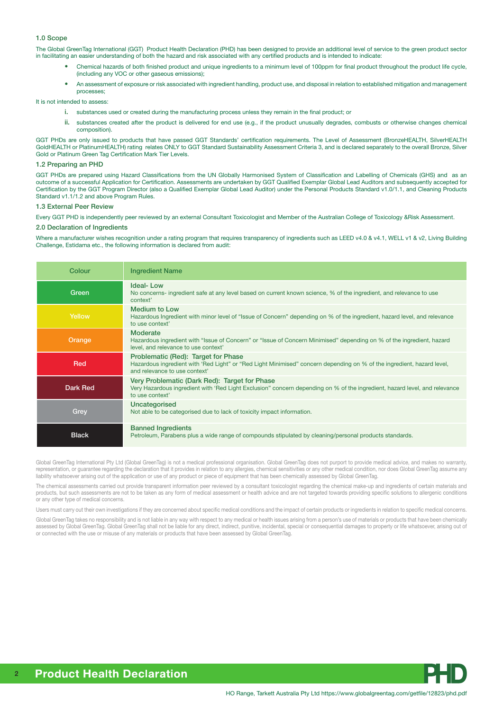#### 1.0 Scope

The Global GreenTag International (GGT) Product Health Declaration (PHD) has been designed to provide an additional level of service to the green product sector in facilitating an easier understanding of both the hazard and risk associated with any certified products and is intended to indicate:

- Chemical hazards of both finished product and unique ingredients to a minimum level of 100ppm for final product throughout the product life cycle, (including any VOC or other gaseous emissions);
- An assessment of exposure or risk associated with ingredient handling, product use, and disposal in relation to established mitigation and management processes;

It is not intended to assess:

- i. substances used or created during the manufacturing process unless they remain in the final product; or
- ii. substances created after the product is delivered for end use (e.g., if the product unusually degrades, combusts or otherwise changes chemical composition).

GGT PHDs are only issued to products that have passed GGT Standards' certification requirements. The Level of Assessment (BronzeHEALTH, SilverHEALTH GoldHEALTH or PlatinumHEALTH) rating relates ONLY to GGT Standard Sustainability Assessment Criteria 3, and is declared separately to the overall Bronze, Silver Gold or Platinum Green Tag Certification Mark Tier Levels.

#### 1.2 Preparing an PHD

GGT PHDs are prepared using Hazard Classifications from the UN Globally Harmonised System of Classification and Labelling of Chemicals (GHS) and as an outcome of a successful Application for Certification. Assessments are undertaken by GGT Qualified Exemplar Global Lead Auditors and subsequently accepted for Certification by the GGT Program Director (also a Qualified Exemplar Global Lead Auditor) under the Personal Products Standard v1.0/1.1, and Cleaning Products Standard v1.1/1.2 and above Program Rules.

#### 1.3 External Peer Review

Every GGT PHD is independently peer reviewed by an external Consultant Toxicologist and Member of the Australian College of Toxicology &Risk Assessment.

#### 2.0 Declaration of Ingredients

Where a manufacturer wishes recognition under a rating program that requires transparency of ingredients such as LEED v4.0 & v4.1, WELL v1 & v2, Living Building Challenge, Estidama etc., the following information is declared from audit:

| Colour       | <b>Ingredient Name</b>                                                                                                                                                                         |
|--------------|------------------------------------------------------------------------------------------------------------------------------------------------------------------------------------------------|
| Green        | <b>Ideal-Low</b><br>No concerns- ingredient safe at any level based on current known science, % of the ingredient, and relevance to use<br>context'                                            |
| Yellow       | <b>Medium to Low</b><br>Hazardous Ingredient with minor level of "Issue of Concern" depending on % of the ingredient, hazard level, and relevance<br>to use context'                           |
| Orange       | <b>Moderate</b><br>Hazardous ingredient with "Issue of Concern" or "Issue of Concern Minimised" depending on % of the ingredient, hazard<br>level, and relevance to use context'               |
| Red          | Problematic (Red): Target for Phase<br>Hazardous ingredient with 'Red Light" or "Red Light Minimised" concern depending on % of the ingredient, hazard level,<br>and relevance to use context' |
| Dark Red     | Very Problematic (Dark Red): Target for Phase<br>Very Hazardous ingredient with 'Red Light Exclusion" concern depending on % of the ingredient, hazard level, and relevance<br>to use context' |
| Grey         | Uncategorised<br>Not able to be categorised due to lack of toxicity impact information.                                                                                                        |
| <b>Black</b> | <b>Banned Ingredients</b><br>Petroleum, Parabens plus a wide range of compounds stipulated by cleaning/personal products standards.                                                            |

Global GreenTag International Pty Ltd (Global GreenTag) is not a medical professional organisation. Global GreenTag does not purport to provide medical advice, and makes no warranty, representation, or guarantee regarding the declaration that it provides in relation to any allergies, chemical sensitivities or any other medical condition, nor does Global GreenTag assume any liability whatsoever arising out of the application or use of any product or piece of equipment that has been chemically assessed by Global GreenTag.

The chemical assessments carried out provide transparent information peer reviewed by a consultant toxicologist regarding the chemical make-up and ingredients of certain materials and products, but such assessments are not to be taken as any form of medical assessment or health advice and are not targeted towards providing specific solutions to allergenic conditions or any other type of medical concerns.

Users must carry out their own investigations if they are concerned about specific medical conditions and the impact of certain products or ingredients in relation to specific medical concerns.

Global GreenTag takes no responsibility and is not liable in any way with respect to any medical or health issues arising from a person's use of materials or products that have been chemically assessed by Global GreenTag. Global GreenTag shall not be liable for any direct, indirect, punitive, incidental, special or consequential damages to property or life whatsoever, arising out of or connected with the use or misuse of any materials or products that have been assessed by Global GreenTag.

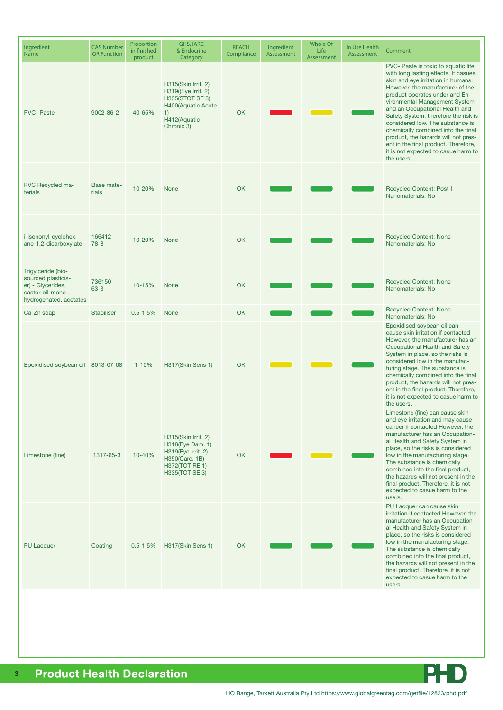| Ingredient<br><b>Name</b>                                                                                    | <b>CAS Number</b><br><b>OR Function</b> | Proportion<br>in finished<br>product | <b>GHS, IARC</b><br>& Endocrine<br>Category                                                                                    | <b>REACH</b><br>Compliance | Ingredient<br>Assessment | Whole Of<br>Life<br>Assessment | In Use Health<br>Assessment | Comment                                                                                                                                                                                                                                                                                                                                                                                                                                                                                                          |
|--------------------------------------------------------------------------------------------------------------|-----------------------------------------|--------------------------------------|--------------------------------------------------------------------------------------------------------------------------------|----------------------------|--------------------------|--------------------------------|-----------------------------|------------------------------------------------------------------------------------------------------------------------------------------------------------------------------------------------------------------------------------------------------------------------------------------------------------------------------------------------------------------------------------------------------------------------------------------------------------------------------------------------------------------|
| <b>PVC-Paste</b>                                                                                             | $9002 - 86 - 2$                         | 40-65%                               | H315(Skin Irrit. 2)<br>H319((Eye Irrit. 2)<br><b>H335(STOT SE 3)</b><br>H400(Aquatic Acute<br>1)<br>H412(Aquatic<br>Chronic 3) | OK                         |                          |                                |                             | PVC- Paste is toxic to aquatic life<br>with long lasting effects. It casues<br>skin and eye irritation in humans.<br>However, the manufacturer of the<br>product operates under and En-<br>vironmental Management System<br>and an Occupational Health and<br>Safety System, therefore the risk is<br>considered low. The substance is<br>chemically combined into the final<br>product, the hazards will not pres-<br>ent in the final product. Therefore,<br>it is not expected to casue harm to<br>the users. |
| PVC Recycled ma-<br>terials                                                                                  | Base mate-<br>rials                     | 10-20%                               | <b>None</b>                                                                                                                    | OK                         |                          |                                |                             | <b>Recycled Content: Post-I</b><br>Nanomaterials: No                                                                                                                                                                                                                                                                                                                                                                                                                                                             |
| i-isononyl-cyclohex-<br>ane-1,2-dicarboxylate                                                                | 166412-<br>$78 - 8$                     | 10-20%                               | <b>None</b>                                                                                                                    | <b>OK</b>                  |                          |                                |                             | <b>Recycled Content: None</b><br>Nanomaterials: No                                                                                                                                                                                                                                                                                                                                                                                                                                                               |
| Trigylceride (bio-<br>sourced plasticis-<br>er) - Glycerides,<br>castor-oil-mono-,<br>hydrogenated, acetates | 736150-<br>$63 - 3$                     | 10-15%                               | <b>None</b>                                                                                                                    | OK                         |                          |                                |                             | <b>Recycled Content: None</b><br>Nanomaterials: No                                                                                                                                                                                                                                                                                                                                                                                                                                                               |
| Ca-Zn soap                                                                                                   | <b>Stabiliser</b>                       | $0.5 - 1.5%$                         | None                                                                                                                           | OK                         |                          |                                |                             | <b>Recycled Content: None</b><br>Nanomaterials: No                                                                                                                                                                                                                                                                                                                                                                                                                                                               |
| Epoxidised soybean oil 8013-07-08                                                                            |                                         | $1 - 10%$                            | H317(Skin Sens 1)                                                                                                              | <b>OK</b>                  |                          |                                |                             | Epoxidised soybean oil can<br>cause skin irritation if contacted<br>However, the manufacturer has an<br>Occupational Health and Safety<br>System in place, so the risks is<br>considered low in the manufac-<br>turing stage. The substance is<br>chemically combined into the final<br>product, the hazards will not pres-<br>ent in the final product. Therefore,<br>it is not expected to casue harm to<br>the users.                                                                                         |
| Limestone (fine)                                                                                             | 1317-65-3                               | 10-40%                               | H315(Skin Irrit. 2)<br>H318(Eye Dam. 1)<br>H319(Eye Irrit. 2)<br>H350(Carc. 1B)<br><b>H372(TOT RE 1)</b><br>H335(TOT SE 3)     | OK                         |                          |                                |                             | Limestone (fine) can cause skin<br>and eye irritation and may cause<br>cancer if contacted However, the<br>manufacturer has an Occupation-<br>al Health and Safety System in<br>place, so the risks is considered<br>low in the manufacturing stage.<br>The substance is chemically<br>combined into the final product,<br>the hazards will not present in the<br>final product. Therefore, it is not<br>expected to casue harm to the<br>users.                                                                 |
| <b>PU Lacquer</b>                                                                                            | Coating                                 | $0.5 - 1.5%$                         | H317(Skin Sens 1)                                                                                                              | <b>OK</b>                  |                          |                                |                             | PU Lacquer can cause skin<br>irritation if contacted However, the<br>manufacturer has an Occupation-<br>al Health and Safety System in<br>place, so the risks is considered<br>low in the manufacturing stage.<br>The substance is chemically<br>combined into the final product,<br>the hazards will not present in the<br>final product. Therefore, it is not<br>expected to casue harm to the<br>users.                                                                                                       |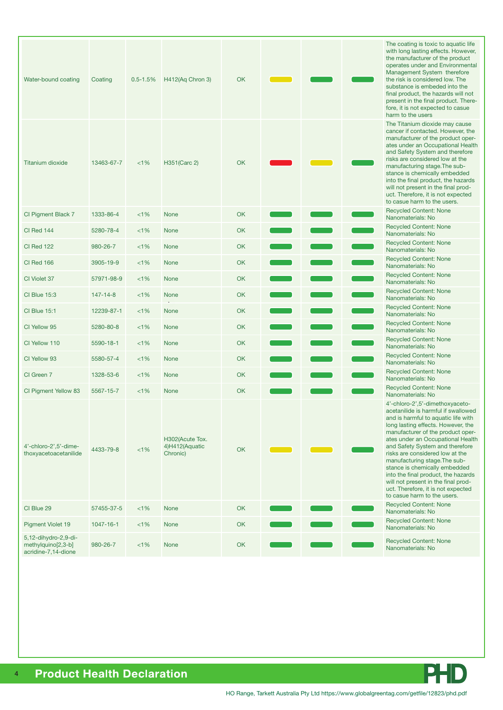| Water-bound coating                                               | Coating         | $0.5 - 1.5%$ | H412(Aq Chron 3)                              | OK        |  | The coating is toxic to aquatic life<br>with long lasting effects. However,<br>the manufacturer of the product<br>operates under and Environmental<br>Management System therefore<br>the risk is considered low. The<br>substance is embeded into the<br>final product, the hazards will not<br>present in the final product. There-<br>fore, it is not expected to casue<br>harm to the users                                                                                                                           |
|-------------------------------------------------------------------|-----------------|--------------|-----------------------------------------------|-----------|--|--------------------------------------------------------------------------------------------------------------------------------------------------------------------------------------------------------------------------------------------------------------------------------------------------------------------------------------------------------------------------------------------------------------------------------------------------------------------------------------------------------------------------|
| <b>Titanium dioxide</b>                                           | 13463-67-7      | $<1\%$       | H351(Carc 2)                                  | <b>OK</b> |  | The Titanium dioxide may cause<br>cancer if contacted. However, the<br>manufacturer of the product oper-<br>ates under an Occupational Health<br>and Safety System and therefore<br>risks are considered low at the<br>manufacturing stage. The sub-<br>stance is chemically embedded<br>into the final product, the hazards<br>will not present in the final prod-<br>uct. Therefore, it is not expected<br>to casue harm to the users.                                                                                 |
| CI Pigment Black 7                                                | 1333-86-4       | $<1\%$       | <b>None</b>                                   | OK        |  | <b>Recycled Content: None</b><br>Nanomaterials: No                                                                                                                                                                                                                                                                                                                                                                                                                                                                       |
| CI Red 144                                                        | 5280-78-4       | $<1\%$       | <b>None</b>                                   | <b>OK</b> |  | <b>Recycled Content: None</b><br>Nanomaterials: No                                                                                                                                                                                                                                                                                                                                                                                                                                                                       |
| <b>CI Red 122</b>                                                 | 980-26-7        | $<1\%$       | None                                          | OK        |  | <b>Recycled Content: None</b><br>Nanomaterials: No                                                                                                                                                                                                                                                                                                                                                                                                                                                                       |
| CI Red 166                                                        | 3905-19-9       | $<1\%$       | None                                          | OK        |  | <b>Recycled Content: None</b><br>Nanomaterials: No                                                                                                                                                                                                                                                                                                                                                                                                                                                                       |
| CI Violet 37                                                      | 57971-98-9      | $<1\%$       | None                                          | <b>OK</b> |  | <b>Recycled Content: None</b><br>Nanomaterials: No                                                                                                                                                                                                                                                                                                                                                                                                                                                                       |
| <b>CI Blue 15:3</b>                                               | $147 - 14 - 8$  | $<1\%$       | <b>None</b>                                   | OK        |  | <b>Recycled Content: None</b><br>Nanomaterials: No                                                                                                                                                                                                                                                                                                                                                                                                                                                                       |
| <b>CI Blue 15:1</b>                                               | 12239-87-1      | $< 1\%$      | <b>None</b>                                   | <b>OK</b> |  | <b>Recycled Content: None</b><br>Nanomaterials: No                                                                                                                                                                                                                                                                                                                                                                                                                                                                       |
| CI Yellow 95                                                      | 5280-80-8       | $<$ 1%       | None                                          | OK        |  | <b>Recycled Content: None</b><br>Nanomaterials: No                                                                                                                                                                                                                                                                                                                                                                                                                                                                       |
| CI Yellow 110                                                     | 5590-18-1       | $<1\%$       | None                                          | <b>OK</b> |  | <b>Recycled Content: None</b><br>Nanomaterials: No                                                                                                                                                                                                                                                                                                                                                                                                                                                                       |
| CI Yellow 93                                                      | 5580-57-4       | $<1\%$       | None                                          | OK        |  | <b>Recycled Content: None</b><br>Nanomaterials: No                                                                                                                                                                                                                                                                                                                                                                                                                                                                       |
| CI Green 7                                                        | 1328-53-6       | $< 1\%$      | None                                          | OK        |  | <b>Recycled Content: None</b><br>Nanomaterials: No                                                                                                                                                                                                                                                                                                                                                                                                                                                                       |
| CI Pigment Yellow 83                                              | 5567-15-7       | $< 1\%$      | None                                          | <b>OK</b> |  | <b>Recycled Content: None</b><br>Nanomaterials: No                                                                                                                                                                                                                                                                                                                                                                                                                                                                       |
| 4'-chloro-2',5'-dime-<br>thoxyacetoacetanilide                    | 4433-79-8       | < 1%         | H302(Acute Tox.<br>4)H412(Aquatic<br>Chronic) | OK        |  | 4'-chloro-2',5'-dimethoxyaceto-<br>acetanilide is harmful if swallowed<br>and is harmful to aquatic life with<br>long lasting effects. However, the<br>manufacturer of the product oper-<br>ates under an Occupational Health<br>and Safety System and therefore<br>risks are considered low at the<br>manufacturing stage. The sub-<br>stance is chemically embedded<br>into the final product, the hazards<br>will not present in the final prod-<br>uct. Therefore, it is not expected<br>to casue harm to the users. |
| CI Blue 29                                                        | 57455-37-5      | $<1\%$       | <b>None</b>                                   | OK        |  | <b>Recycled Content: None</b><br>Nanomaterials: No                                                                                                                                                                                                                                                                                                                                                                                                                                                                       |
| Pigment Violet 19                                                 | $1047 - 16 - 1$ | $<$ 1%       | None                                          | OK        |  | <b>Recycled Content: None</b><br>Nanomaterials: No                                                                                                                                                                                                                                                                                                                                                                                                                                                                       |
| 5,12-dihydro-2,9-di-<br>methylquino[2,3-b]<br>acridine-7,14-dione | 980-26-7        | $<$ 1%       | None                                          | OK        |  | <b>Recycled Content: None</b><br>Nanomaterials: No                                                                                                                                                                                                                                                                                                                                                                                                                                                                       |



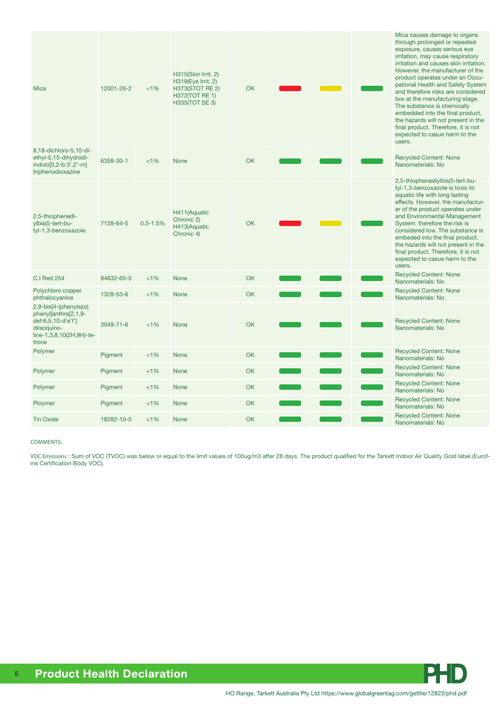| <b>Mica</b>                                                                                                             | 12001-26-2 | $< 1\%$      | H315(Skin Irrit. 2)<br>H319(Eye Irrit. 2)<br>H373(STOT RE 2)<br><b>H372(TOT RE 1)</b><br><b>H335(TOT SE 3)</b> | <b>OK</b> |  | Mica causes damage to organs<br>through prolonged or repeated<br>exposure, causes serious eye<br>irritation, may cause respiratory<br>irritation and causes skin irritation.<br>However, the manufacturer of the<br>product operates under an Occu-<br>pational Health and Safety System<br>and therefore risks are considered<br>low at the manufacturing stage.<br>The substance is chemically<br>embedded into the final product,<br>the hazards will not present in the<br>final product. Therefore, it is not<br>expected to casue harm to the<br>users. |
|-------------------------------------------------------------------------------------------------------------------------|------------|--------------|----------------------------------------------------------------------------------------------------------------|-----------|--|---------------------------------------------------------------------------------------------------------------------------------------------------------------------------------------------------------------------------------------------------------------------------------------------------------------------------------------------------------------------------------------------------------------------------------------------------------------------------------------------------------------------------------------------------------------|
| 8,18-dichloro-5,15-di-<br>ethyl-5,15-dihydrodi-<br>indolo[3,2-b:3',2'-m]<br>triphenodioxazine                           | 6358-30-1  | < 1%         | <b>None</b>                                                                                                    | <b>OK</b> |  | <b>Recycled Content: None</b><br>Nanomaterials: No                                                                                                                                                                                                                                                                                                                                                                                                                                                                                                            |
| 2,5-thiophenedi-<br>ylbis(5-tert-bu-<br>tyl-1,3-benzoxazole                                                             | 7128-64-5  | $0.5 - 1.5%$ | H411(Aquatic<br>Chronic 2)<br>H413(Aquatic<br>Chronic 4)                                                       | OK        |  | 2,5-thiophenediylbis(5-tert-bu-<br>tyl-1,3-benzoxazole is toxic to<br>aquatic life with long lasting<br>effects. However, the manufactur-<br>er of the product operates under<br>and Environmental Management<br>System therefore the risk is<br>considered low. The substance is<br>embeded into the final product,<br>the hazards will not present in the<br>final product. Therefore, it is not<br>expected to casue harm to the<br>users.                                                                                                                 |
| <b>C.I Red 254</b>                                                                                                      | 84632-65-5 | < 1%         | <b>None</b>                                                                                                    | <b>OK</b> |  | <b>Recycled Content: None</b><br>Nanomaterials: No                                                                                                                                                                                                                                                                                                                                                                                                                                                                                                            |
| Polychloro copper<br>phthalocyanine                                                                                     | 1328-53-6  | $<1\%$       | <b>None</b>                                                                                                    | <b>OK</b> |  | <b>Recycled Content: None</b><br>Nanomaterials: No                                                                                                                                                                                                                                                                                                                                                                                                                                                                                                            |
| 2,9-bis[4-(phenylazo)<br>phenyl]anthra[2,1,9-<br>def:6,5,10-d'e'f']<br>diisoquino-<br>line-1,3,8,10(2H,9H)-te-<br>trone | 3049-71-6  | 1%           | <b>None</b>                                                                                                    | <b>OK</b> |  | <b>Recycled Content: None</b><br>Nanomaterials: No                                                                                                                                                                                                                                                                                                                                                                                                                                                                                                            |
| Polymer                                                                                                                 | Pigment    | <1%          | <b>None</b>                                                                                                    | <b>OK</b> |  | <b>Recycled Content: None</b><br>Nanomaterials: No                                                                                                                                                                                                                                                                                                                                                                                                                                                                                                            |
| Polymer                                                                                                                 | Pigment    | $<1\%$       | <b>None</b>                                                                                                    | <b>OK</b> |  | <b>Recycled Content: None</b><br>Nanomaterials: No                                                                                                                                                                                                                                                                                                                                                                                                                                                                                                            |
| Polymer                                                                                                                 | Pigment    | < 1%         | <b>None</b>                                                                                                    | <b>OK</b> |  | <b>Recycled Content: None</b><br>Nanomaterials: No                                                                                                                                                                                                                                                                                                                                                                                                                                                                                                            |
| Ploymer                                                                                                                 | Pigment    | $<1\%$       | <b>None</b>                                                                                                    | <b>OK</b> |  | <b>Recycled Content: None</b><br>Nanomaterials: No                                                                                                                                                                                                                                                                                                                                                                                                                                                                                                            |
| <b>Tin Oxide</b>                                                                                                        | 18282-10-5 | < 1%         | <b>None</b>                                                                                                    | <b>OK</b> |  | <b>Recycled Content: None</b><br>Nanomaterials: No                                                                                                                                                                                                                                                                                                                                                                                                                                                                                                            |

#### COMMENTS:

VOC Emissions : Sum of VOC (TVOC) was below or equal to the limit values of 100ug/m3 after 28 days. The product qualified for the Tarkett Indoor Air Quality Gold label.(Eurofins Certification Body VOC).